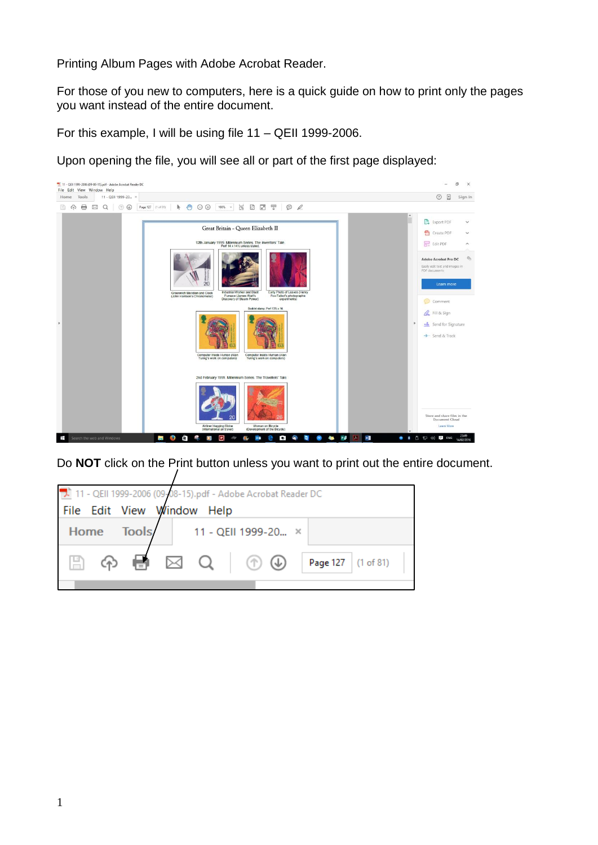Printing Album Pages with Adobe Acrobat Reader.

For those of you new to computers, here is a quick guide on how to print only the pages you want instead of the entire document.

For this example, I will be using file 11 – QEII 1999-2006.

Upon opening the file, you will see all or part of the first page displayed:



Do **NOT** click on the Print button unless you want to print out the entire document.

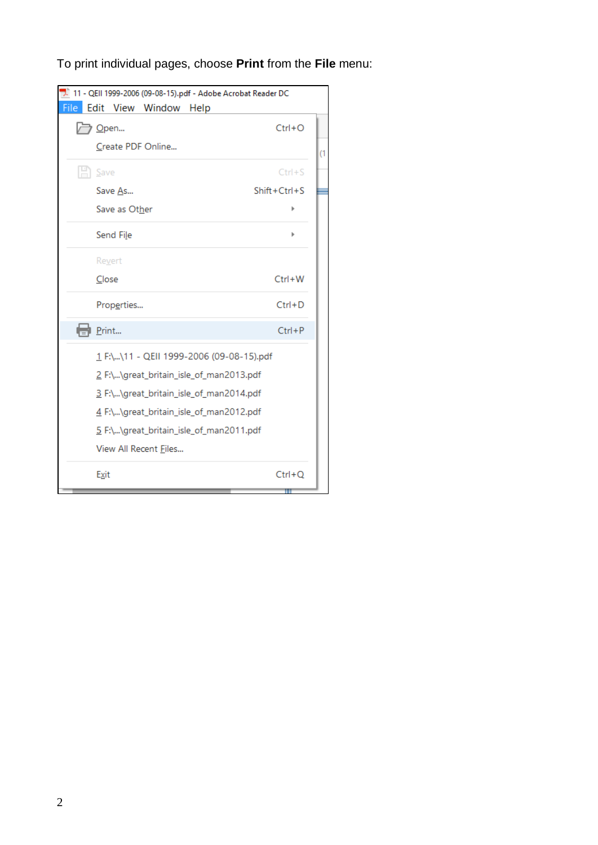To print individual pages, choose **Print** from the **File** menu:

| 7. 11 - QEII 1999-2006 (09-08-15).pdf - Adobe Acrobat Reader DC |                |
|-----------------------------------------------------------------|----------------|
| File<br>Edit View Window<br>Help                                |                |
| /ラ Open                                                         | $Ctrl + O$     |
| Create PDF Online                                               |                |
| $\mathbb{H}$ Save                                               | $Ctrl + S$     |
| Save As                                                         | $Shift+Ctrl+S$ |
| Save as Other                                                   |                |
| Send File                                                       |                |
| Revert                                                          |                |
| Close                                                           | $Ctrl + W$     |
| Properties                                                      | $Ctrl + D$     |
| Print                                                           | $Ctrl + P$     |
| 1 F:\\11 - QEII 1999-2006 (09-08-15).pdf                        |                |
| 2 F:\\great_britain_isle_of_man2013.pdf                         |                |
| 3 F:\\great_britain_isle_of_man2014.pdf                         |                |
| 4 F:\\great_britain_isle_of_man2012.pdf                         |                |
| 5 F:\\great_britain_isle_of_man2011.pdf                         |                |
| View All Recent Files                                           |                |
| Exit                                                            | $Ctrl + Q$     |